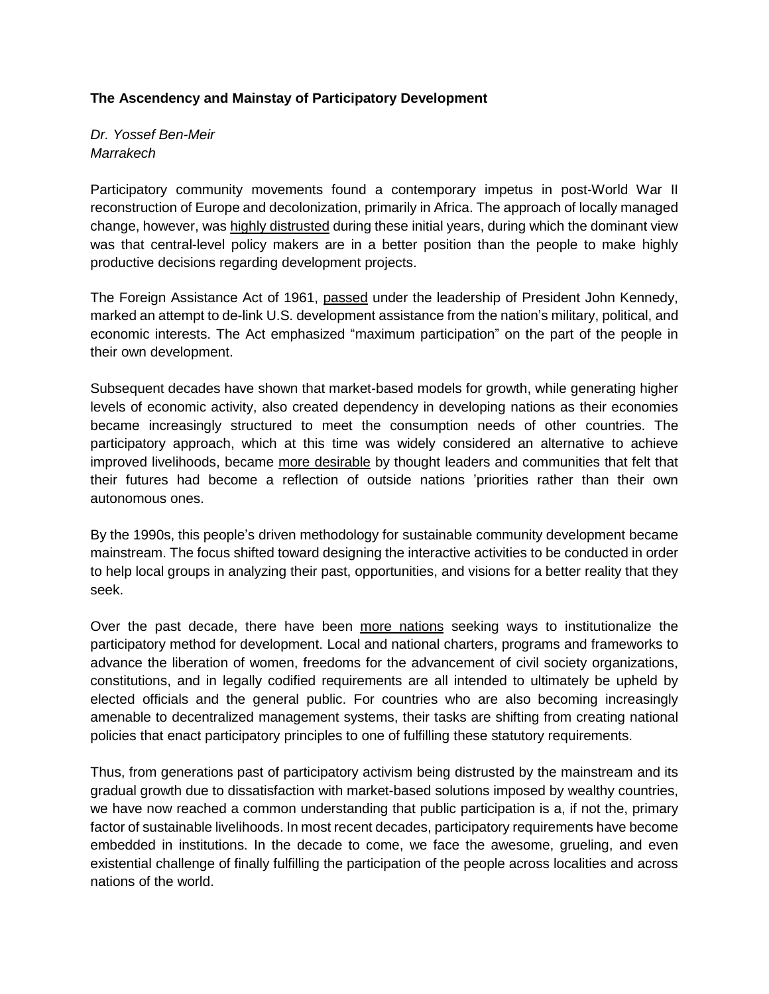## **The Ascendency and Mainstay of Participatory Development**

*Dr. Yossef Ben-Meir Marrakech*

Participatory community movements found a contemporary impetus in post-World War II reconstruction of Europe and decolonization, primarily in Africa. The approach of locally managed change, however, was highly [distrusted](https://edisciplinas.usp.br/pluginfile.php/3949701/mod_resource/content/1/Martinussen%20%28Cap.6%29.pdf) during these initial years, during which the dominant view was that central-level policy makers are in a better position than the people to make highly productive decisions regarding development projects.

The Foreign Assistance Act of 1961, [passed](https://www.jfklibrary.org/asset-viewer/archives/JFKPOF/039/JFKPOF-039-021) under the leadership of President John Kennedy, marked an attempt to de-link U.S. development assistance from the nation's military, political, and economic interests. The Act emphasized "maximum participation" on the part of the people in their own development.

Subsequent decades have shown that market-based models for growth, while generating higher levels of economic activity, also created dependency in developing nations as their economies became increasingly structured to meet the consumption needs of other countries. The participatory approach, which at this time was widely considered an alternative to achieve improved livelihoods, became more [desirable](https://vi.unctad.org/tapcd/papers_documents/mcculloch_winters_cirera_2001_trade_liberalization_poverty.pdf) by thought leaders and communities that felt that their futures had become a reflection of outside nations 'priorities rather than their own autonomous ones.

By the 1990s, this people's driven methodology for sustainable community development became mainstream. The focus shifted toward designing the interactive activities to be conducted in order to help local groups in analyzing their past, opportunities, and visions for a better reality that they seek.

Over the past decade, there have been more [nations](https://ideas.repec.org/p/sek/iacpro/5808098.html) seeking ways to institutionalize the participatory method for development. Local and national charters, programs and frameworks to advance the liberation of women, freedoms for the advancement of civil society organizations, constitutions, and in legally codified requirements are all intended to ultimately be upheld by elected officials and the general public. For countries who are also becoming increasingly amenable to decentralized management systems, their tasks are shifting from creating national policies that enact participatory principles to one of fulfilling these statutory requirements.

Thus, from generations past of participatory activism being distrusted by the mainstream and its gradual growth due to dissatisfaction with market-based solutions imposed by wealthy countries, we have now reached a common understanding that public participation is a, if not the, primary factor of sustainable livelihoods. In most recent decades, participatory requirements have become embedded in institutions. In the decade to come, we face the awesome, grueling, and even existential challenge of finally fulfilling the participation of the people across localities and across nations of the world.